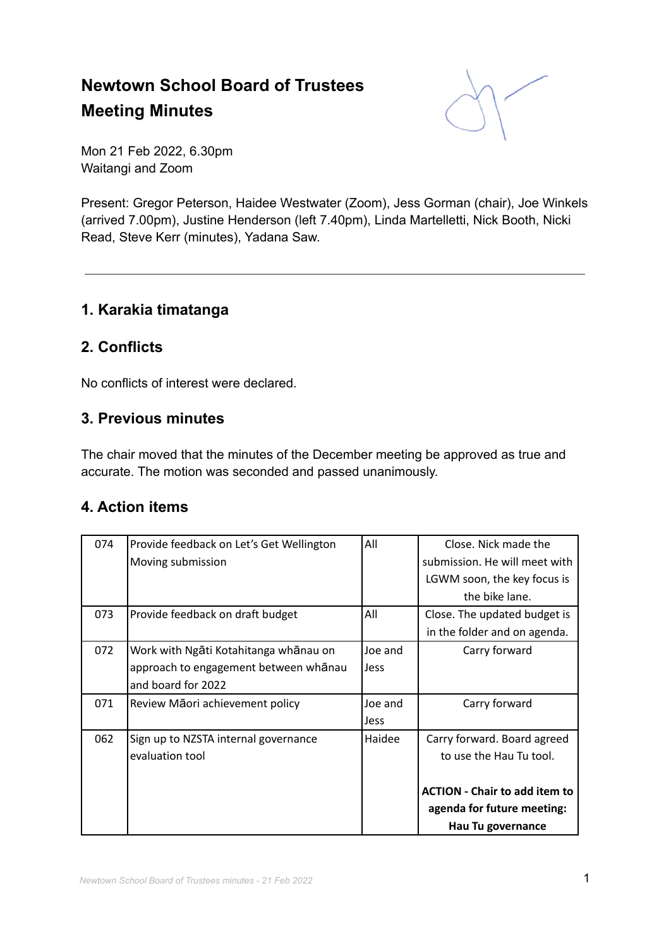# **Newtown School Board of Trustees Meeting Minutes**



Mon 21 Feb 2022, 6.30pm Waitangi and Zoom

Present: Gregor Peterson, Haidee Westwater (Zoom), Jess Gorman (chair), Joe Winkels (arrived 7.00pm), Justine Henderson (left 7.40pm), Linda Martelletti, Nick Booth, Nicki Read, Steve Kerr (minutes), Yadana Saw.

### **1. Karakia timatanga**

### **2. Conflicts**

No conflicts of interest were declared.

# **3. Previous minutes**

The chair moved that the minutes of the December meeting be approved as true and accurate. The motion was seconded and passed unanimously.

### **4. Action items**

| 074 | Provide feedback on Let's Get Wellington | All         | Close. Nick made the                 |
|-----|------------------------------------------|-------------|--------------------------------------|
|     | Moving submission                        |             | submission. He will meet with        |
|     |                                          |             | LGWM soon, the key focus is          |
|     |                                          |             | the bike lane.                       |
| 073 | Provide feedback on draft budget         | All         | Close. The updated budget is         |
|     |                                          |             | in the folder and on agenda.         |
| 072 | Work with Ngāti Kotahitanga whānau on    | Joe and     | Carry forward                        |
|     | approach to engagement between whanau    | <b>Jess</b> |                                      |
|     | and board for 2022                       |             |                                      |
| 071 | Review Māori achievement policy          | Joe and     | Carry forward                        |
|     |                                          | Jess        |                                      |
| 062 | Sign up to NZSTA internal governance     | Haidee      | Carry forward. Board agreed          |
|     | evaluation tool                          |             | to use the Hau Tu tool.              |
|     |                                          |             |                                      |
|     |                                          |             | <b>ACTION - Chair to add item to</b> |
|     |                                          |             | agenda for future meeting:           |
|     |                                          |             | Hau Tu governance                    |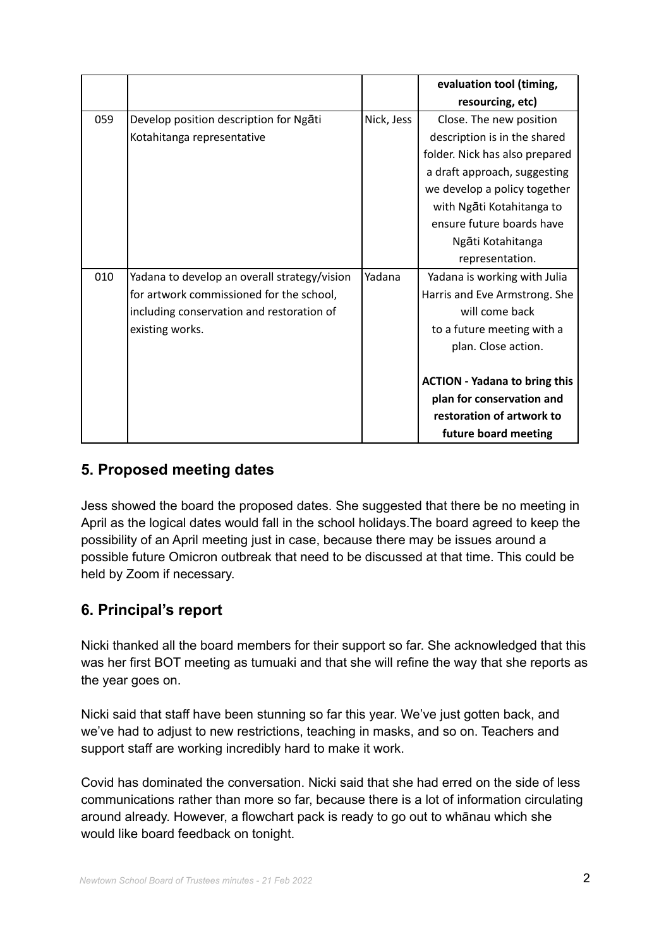|     |                                              |            | evaluation tool (timing,             |
|-----|----------------------------------------------|------------|--------------------------------------|
|     |                                              |            | resourcing, etc)                     |
| 059 | Develop position description for Ngati       | Nick, Jess | Close. The new position              |
|     | Kotahitanga representative                   |            | description is in the shared         |
|     |                                              |            | folder. Nick has also prepared       |
|     |                                              |            | a draft approach, suggesting         |
|     |                                              |            | we develop a policy together         |
|     |                                              |            | with Ngāti Kotahitanga to            |
|     |                                              |            | ensure future boards have            |
|     |                                              |            | Ngāti Kotahitanga                    |
|     |                                              |            | representation.                      |
| 010 | Yadana to develop an overall strategy/vision | Yadana     | Yadana is working with Julia         |
|     | for artwork commissioned for the school,     |            | Harris and Eve Armstrong. She        |
|     | including conservation and restoration of    |            | will come back                       |
|     | existing works.                              |            | to a future meeting with a           |
|     |                                              |            | plan. Close action.                  |
|     |                                              |            |                                      |
|     |                                              |            | <b>ACTION - Yadana to bring this</b> |
|     |                                              |            | plan for conservation and            |
|     |                                              |            | restoration of artwork to            |
|     |                                              |            | future board meeting                 |

### **5. Proposed meeting dates**

Jess showed the board the proposed dates. She suggested that there be no meeting in April as the logical dates would fall in the school holidays.The board agreed to keep the possibility of an April meeting just in case, because there may be issues around a possible future Omicron outbreak that need to be discussed at that time. This could be held by Zoom if necessary.

# **6. Principal's report**

Nicki thanked all the board members for their support so far. She acknowledged that this was her first BOT meeting as tumuaki and that she will refine the way that she reports as the year goes on.

Nicki said that staff have been stunning so far this year. We've just gotten back, and we've had to adjust to new restrictions, teaching in masks, and so on. Teachers and support staff are working incredibly hard to make it work.

Covid has dominated the conversation. Nicki said that she had erred on the side of less communications rather than more so far, because there is a lot of information circulating around already. However, a flowchart pack is ready to go out to whānau which she would like board feedback on tonight.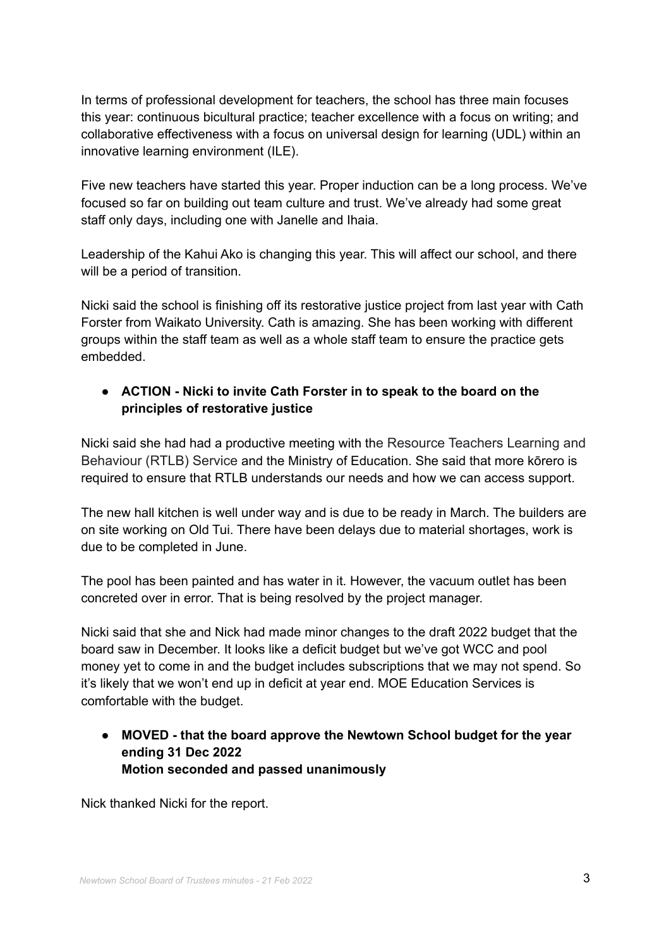In terms of professional development for teachers, the school has three main focuses this year: continuous bicultural practice; teacher excellence with a focus on writing; and collaborative effectiveness with a focus on universal design for learning (UDL) within an innovative learning environment (ILE).

Five new teachers have started this year. Proper induction can be a long process. We've focused so far on building out team culture and trust. We've already had some great staff only days, including one with Janelle and Ihaia.

Leadership of the Kahui Ako is changing this year. This will affect our school, and there will be a period of transition.

Nicki said the school is finishing off its restorative justice project from last year with Cath Forster from Waikato University. Cath is amazing. She has been working with different groups within the staff team as well as a whole staff team to ensure the practice gets embedded.

#### **● ACTION - Nicki to invite Cath Forster in to speak to the board on the principles of restorative justice**

Nicki said she had had a productive meeting with the Resource Teachers Learning and Behaviour (RTLB) Service and the Ministry of Education. She said that more kōrero is required to ensure that RTLB understands our needs and how we can access support.

The new hall kitchen is well under way and is due to be ready in March. The builders are on site working on Old Tui. There have been delays due to material shortages, work is due to be completed in June.

The pool has been painted and has water in it. However, the vacuum outlet has been concreted over in error. That is being resolved by the project manager.

Nicki said that she and Nick had made minor changes to the draft 2022 budget that the board saw in December. It looks like a deficit budget but we've got WCC and pool money yet to come in and the budget includes subscriptions that we may not spend. So it's likely that we won't end up in deficit at year end. MOE Education Services is comfortable with the budget.

**● MOVED - that the board approve the Newtown School budget for the year ending 31 Dec 2022 Motion seconded and passed unanimously**

Nick thanked Nicki for the report.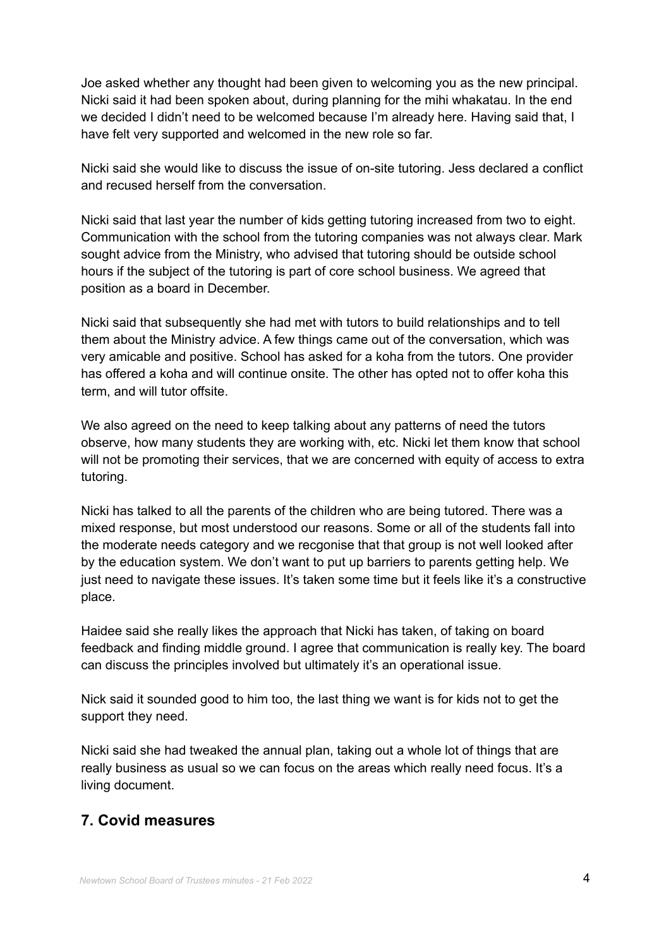Joe asked whether any thought had been given to welcoming you as the new principal. Nicki said it had been spoken about, during planning for the mihi whakatau. In the end we decided I didn't need to be welcomed because I'm already here. Having said that, I have felt very supported and welcomed in the new role so far.

Nicki said she would like to discuss the issue of on-site tutoring. Jess declared a conflict and recused herself from the conversation.

Nicki said that last year the number of kids getting tutoring increased from two to eight. Communication with the school from the tutoring companies was not always clear. Mark sought advice from the Ministry, who advised that tutoring should be outside school hours if the subject of the tutoring is part of core school business. We agreed that position as a board in December.

Nicki said that subsequently she had met with tutors to build relationships and to tell them about the Ministry advice. A few things came out of the conversation, which was very amicable and positive. School has asked for a koha from the tutors. One provider has offered a koha and will continue onsite. The other has opted not to offer koha this term, and will tutor offsite.

We also agreed on the need to keep talking about any patterns of need the tutors observe, how many students they are working with, etc. Nicki let them know that school will not be promoting their services, that we are concerned with equity of access to extra tutoring.

Nicki has talked to all the parents of the children who are being tutored. There was a mixed response, but most understood our reasons. Some or all of the students fall into the moderate needs category and we recgonise that that group is not well looked after by the education system. We don't want to put up barriers to parents getting help. We just need to navigate these issues. It's taken some time but it feels like it's a constructive place.

Haidee said she really likes the approach that Nicki has taken, of taking on board feedback and finding middle ground. I agree that communication is really key. The board can discuss the principles involved but ultimately it's an operational issue.

Nick said it sounded good to him too, the last thing we want is for kids not to get the support they need.

Nicki said she had tweaked the annual plan, taking out a whole lot of things that are really business as usual so we can focus on the areas which really need focus. It's a living document.

### **7. Covid measures**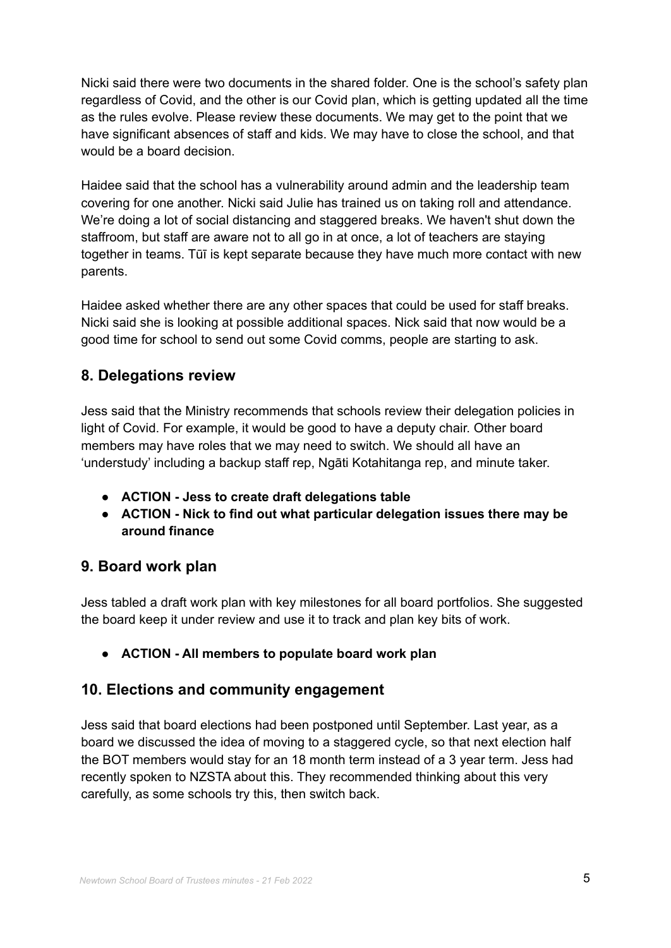Nicki said there were two documents in the shared folder. One is the school's safety plan regardless of Covid, and the other is our Covid plan, which is getting updated all the time as the rules evolve. Please review these documents. We may get to the point that we have significant absences of staff and kids. We may have to close the school, and that would be a board decision.

Haidee said that the school has a vulnerability around admin and the leadership team covering for one another. Nicki said Julie has trained us on taking roll and attendance. We're doing a lot of social distancing and staggered breaks. We haven't shut down the staffroom, but staff are aware not to all go in at once, a lot of teachers are staying together in teams. Tūī is kept separate because they have much more contact with new parents.

Haidee asked whether there are any other spaces that could be used for staff breaks. Nicki said she is looking at possible additional spaces. Nick said that now would be a good time for school to send out some Covid comms, people are starting to ask.

# **8. Delegations review**

Jess said that the Ministry recommends that schools review their delegation policies in light of Covid. For example, it would be good to have a deputy chair. Other board members may have roles that we may need to switch. We should all have an 'understudy' including a backup staff rep, Ngāti Kotahitanga rep, and minute taker.

- **● ACTION - Jess to create draft delegations table**
- **● ACTION - Nick to find out what particular delegation issues there may be around finance**

# **9. Board work plan**

Jess tabled a draft work plan with key milestones for all board portfolios. She suggested the board keep it under review and use it to track and plan key bits of work.

**● ACTION - All members to populate board work plan**

# **10. Elections and community engagement**

Jess said that board elections had been postponed until September. Last year, as a board we discussed the idea of moving to a staggered cycle, so that next election half the BOT members would stay for an 18 month term instead of a 3 year term. Jess had recently spoken to NZSTA about this. They recommended thinking about this very carefully, as some schools try this, then switch back.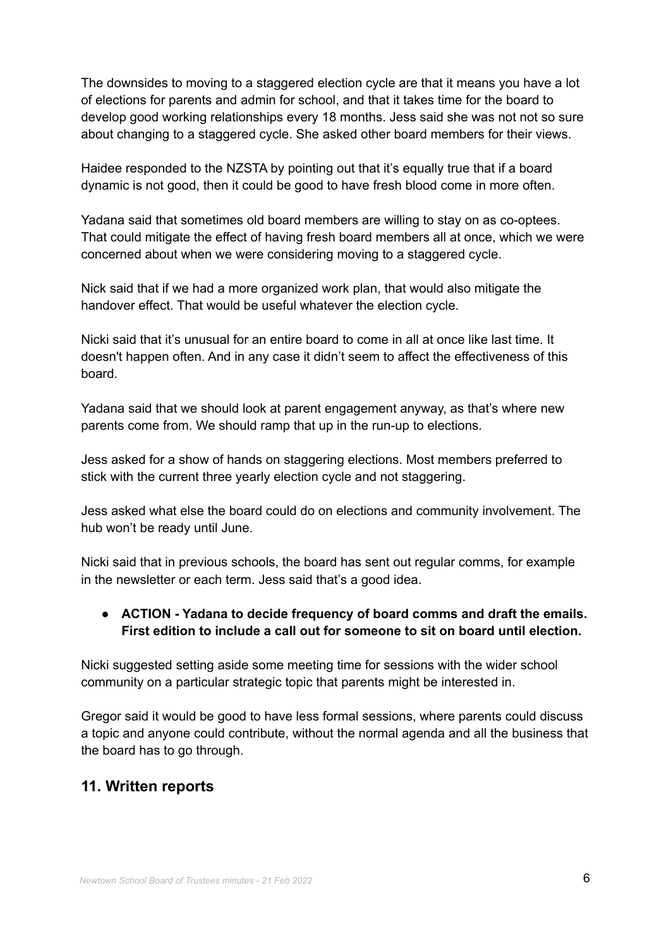The downsides to moving to a staggered election cycle are that it means you have a lot of elections for parents and admin for school, and that it takes time for the board to develop good working relationships every 18 months. Jess said she was not not so sure about changing to a staggered cycle. She asked other board members for their views.

Haidee responded to the NZSTA by pointing out that it's equally true that if a board dynamic is not good, then it could be good to have fresh blood come in more often.

Yadana said that sometimes old board members are willing to stay on as co-optees. That could mitigate the effect of having fresh board members all at once, which we were concerned about when we were considering moving to a staggered cycle.

Nick said that if we had a more organized work plan, that would also mitigate the handover effect. That would be useful whatever the election cycle.

Nicki said that it's unusual for an entire board to come in all at once like last time. It doesn't happen often. And in any case it didn't seem to affect the effectiveness of this board.

Yadana said that we should look at parent engagement anyway, as that's where new parents come from. We should ramp that up in the run-up to elections.

Jess asked for a show of hands on staggering elections. Most members preferred to stick with the current three yearly election cycle and not staggering.

Jess asked what else the board could do on elections and community involvement. The hub won't be ready until June.

Nicki said that in previous schools, the board has sent out regular comms, for example in the newsletter or each term. Jess said that's a good idea.

#### **● ACTION - Yadana to decide frequency of board comms and draft the emails. First edition to include a call out for someone to sit on board until election.**

Nicki suggested setting aside some meeting time for sessions with the wider school community on a particular strategic topic that parents might be interested in.

Gregor said it would be good to have less formal sessions, where parents could discuss a topic and anyone could contribute, without the normal agenda and all the business that the board has to go through.

# **11. Written reports**